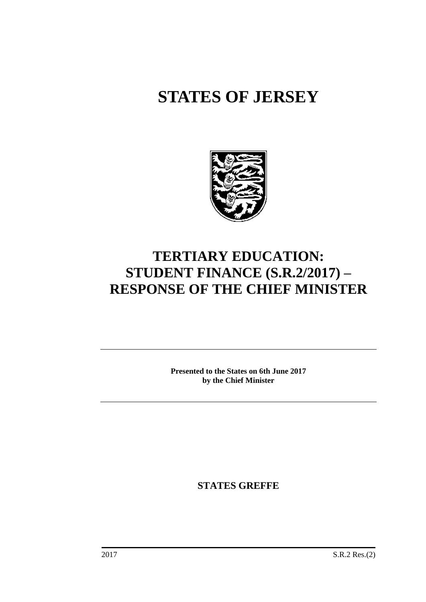# **STATES OF JERSEY**



## **TERTIARY EDUCATION: STUDENT FINANCE (S.R.2/2017) – RESPONSE OF THE CHIEF MINISTER**

**Presented to the States on 6th June 2017 by the Chief Minister**

**STATES GREFFE**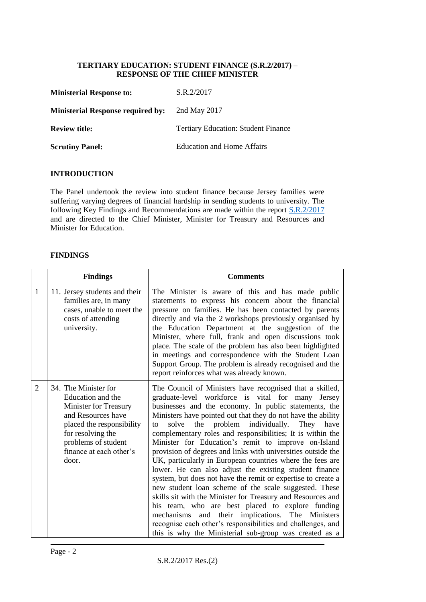#### **TERTIARY EDUCATION: STUDENT FINANCE (S.R.2/2017) – RESPONSE OF THE CHIEF MINISTER**

| <b>Ministerial Response to:</b>          | S.R.2/2017                                 |
|------------------------------------------|--------------------------------------------|
| <b>Ministerial Response required by:</b> | 2nd May 2017                               |
| <b>Review title:</b>                     | <b>Tertiary Education: Student Finance</b> |
| <b>Scrutiny Panel:</b>                   | <b>Education and Home Affairs</b>          |

#### **INTRODUCTION**

The Panel undertook the review into student finance because Jersey families were suffering varying degrees of financial hardship in sending students to university. The following Key Findings and Recommendations are made within the report **S.R.2/2017** and are directed to the Chief Minister, Minister for Treasury and Resources and Minister for Education.

#### **FINDINGS**

|                | <b>Findings</b>                                                                                                                                                                                       | <b>Comments</b>                                                                                                                                                                                                                                                                                                                                                                                                                                                                                                                                                                                                                                                                                                                                                                                                                                                                                                                                                                                                                      |
|----------------|-------------------------------------------------------------------------------------------------------------------------------------------------------------------------------------------------------|--------------------------------------------------------------------------------------------------------------------------------------------------------------------------------------------------------------------------------------------------------------------------------------------------------------------------------------------------------------------------------------------------------------------------------------------------------------------------------------------------------------------------------------------------------------------------------------------------------------------------------------------------------------------------------------------------------------------------------------------------------------------------------------------------------------------------------------------------------------------------------------------------------------------------------------------------------------------------------------------------------------------------------------|
| 1              | 11. Jersey students and their<br>families are, in many<br>cases, unable to meet the<br>costs of attending<br>university.                                                                              | The Minister is aware of this and has made public<br>statements to express his concern about the financial<br>pressure on families. He has been contacted by parents<br>directly and via the 2 workshops previously organised by<br>the Education Department at the suggestion of the<br>Minister, where full, frank and open discussions took<br>place. The scale of the problem has also been highlighted<br>in meetings and correspondence with the Student Loan<br>Support Group. The problem is already recognised and the<br>report reinforces what was already known.                                                                                                                                                                                                                                                                                                                                                                                                                                                         |
| $\overline{2}$ | 34. The Minister for<br>Education and the<br>Minister for Treasury<br>and Resources have<br>placed the responsibility<br>for resolving the<br>problems of student<br>finance at each other's<br>door. | The Council of Ministers have recognised that a skilled,<br>graduate-level workforce is vital for many Jersey<br>businesses and the economy. In public statements, the<br>Ministers have pointed out that they do not have the ability<br>the problem individually. They have<br>solve<br>to<br>complementary roles and responsibilities; It is within the<br>Minister for Education's remit to improve on-Island<br>provision of degrees and links with universities outside the<br>UK, particularly in European countries where the fees are<br>lower. He can also adjust the existing student finance<br>system, but does not have the remit or expertise to create a<br>new student loan scheme of the scale suggested. These<br>skills sit with the Minister for Treasury and Resources and<br>his team, who are best placed to explore funding<br>and their implications. The Ministers<br>mechanisms<br>recognise each other's responsibilities and challenges, and<br>this is why the Ministerial sub-group was created as a |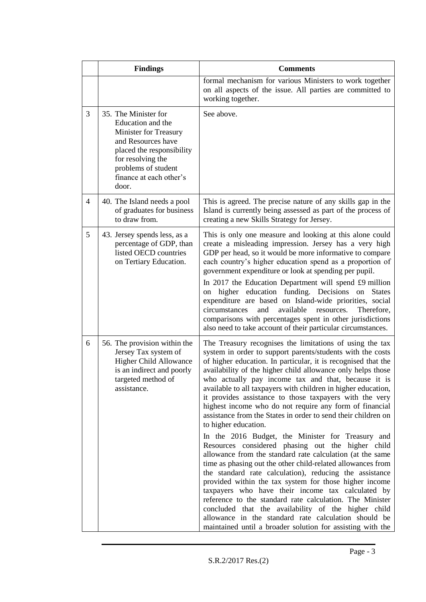|   | <b>Findings</b>                                                                                                                                                                                              | <b>Comments</b>                                                                                                                                                                                                                                                                                                                                                                                                                                                                                                                                                                                                                                                                                                                                                                                                                                                                                                                                                                                                                                                                                                                                                                                                                                        |  |
|---|--------------------------------------------------------------------------------------------------------------------------------------------------------------------------------------------------------------|--------------------------------------------------------------------------------------------------------------------------------------------------------------------------------------------------------------------------------------------------------------------------------------------------------------------------------------------------------------------------------------------------------------------------------------------------------------------------------------------------------------------------------------------------------------------------------------------------------------------------------------------------------------------------------------------------------------------------------------------------------------------------------------------------------------------------------------------------------------------------------------------------------------------------------------------------------------------------------------------------------------------------------------------------------------------------------------------------------------------------------------------------------------------------------------------------------------------------------------------------------|--|
|   |                                                                                                                                                                                                              | formal mechanism for various Ministers to work together<br>on all aspects of the issue. All parties are committed to<br>working together.                                                                                                                                                                                                                                                                                                                                                                                                                                                                                                                                                                                                                                                                                                                                                                                                                                                                                                                                                                                                                                                                                                              |  |
| 3 | 35. The Minister for<br>Education and the<br><b>Minister for Treasury</b><br>and Resources have<br>placed the responsibility<br>for resolving the<br>problems of student<br>finance at each other's<br>door. | See above.                                                                                                                                                                                                                                                                                                                                                                                                                                                                                                                                                                                                                                                                                                                                                                                                                                                                                                                                                                                                                                                                                                                                                                                                                                             |  |
| 4 | 40. The Island needs a pool<br>of graduates for business<br>to draw from.                                                                                                                                    | This is agreed. The precise nature of any skills gap in the<br>Island is currently being assessed as part of the process of<br>creating a new Skills Strategy for Jersey.                                                                                                                                                                                                                                                                                                                                                                                                                                                                                                                                                                                                                                                                                                                                                                                                                                                                                                                                                                                                                                                                              |  |
| 5 | 43. Jersey spends less, as a<br>percentage of GDP, than<br>listed OECD countries<br>on Tertiary Education.                                                                                                   | This is only one measure and looking at this alone could<br>create a misleading impression. Jersey has a very high<br>GDP per head, so it would be more informative to compare<br>each country's higher education spend as a proportion of<br>government expenditure or look at spending per pupil.<br>In 2017 the Education Department will spend £9 million<br>higher education funding. Decisions<br><b>States</b><br>on<br>on<br>expenditure are based on Island-wide priorities, social<br>circumstances<br>available<br>and<br>resources.<br>Therefore,<br>comparisons with percentages spent in other jurisdictions<br>also need to take account of their particular circumstances.                                                                                                                                                                                                                                                                                                                                                                                                                                                                                                                                                             |  |
| 6 | 56. The provision within the<br>Jersey Tax system of<br><b>Higher Child Allowance</b><br>is an indirect and poorly<br>targeted method of<br>assistance.                                                      | The Treasury recognises the limitations of using the tax<br>system in order to support parents/students with the costs<br>of higher education. In particular, it is recognised that the<br>availability of the higher child allowance only helps those<br>who actually pay income tax and that, because it is<br>available to all taxpayers with children in higher education,<br>it provides assistance to those taxpayers with the very<br>highest income who do not require any form of financial<br>assistance from the States in order to send their children on<br>to higher education.<br>In the 2016 Budget, the Minister for Treasury and<br>Resources considered phasing out the higher child<br>allowance from the standard rate calculation (at the same<br>time as phasing out the other child-related allowances from<br>the standard rate calculation), reducing the assistance<br>provided within the tax system for those higher income<br>taxpayers who have their income tax calculated by<br>reference to the standard rate calculation. The Minister<br>concluded that the availability of the higher child<br>allowance in the standard rate calculation should be<br>maintained until a broader solution for assisting with the |  |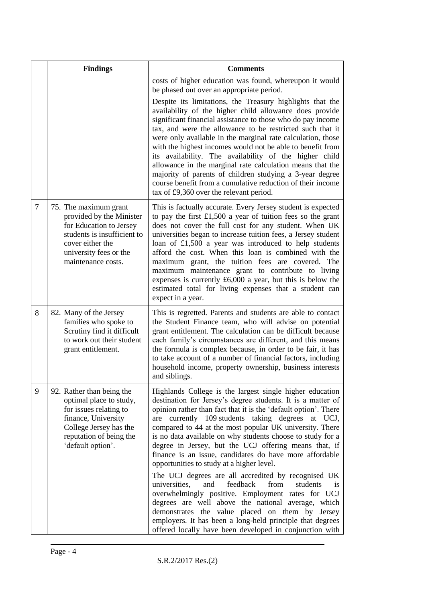|   | <b>Findings</b>                                                                                                                                                                 | <b>Comments</b>                                                                                                                                                                                                                                                                                                                                                                                                                                                                                                                                                                                                                                                                                                                                                                                                                                                                                                                                      |
|---|---------------------------------------------------------------------------------------------------------------------------------------------------------------------------------|------------------------------------------------------------------------------------------------------------------------------------------------------------------------------------------------------------------------------------------------------------------------------------------------------------------------------------------------------------------------------------------------------------------------------------------------------------------------------------------------------------------------------------------------------------------------------------------------------------------------------------------------------------------------------------------------------------------------------------------------------------------------------------------------------------------------------------------------------------------------------------------------------------------------------------------------------|
|   |                                                                                                                                                                                 | costs of higher education was found, whereupon it would<br>be phased out over an appropriate period.                                                                                                                                                                                                                                                                                                                                                                                                                                                                                                                                                                                                                                                                                                                                                                                                                                                 |
|   |                                                                                                                                                                                 | Despite its limitations, the Treasury highlights that the<br>availability of the higher child allowance does provide<br>significant financial assistance to those who do pay income<br>tax, and were the allowance to be restricted such that it<br>were only available in the marginal rate calculation, those<br>with the highest incomes would not be able to benefit from<br>its availability. The availability of the higher child<br>allowance in the marginal rate calculation means that the<br>majority of parents of children studying a 3-year degree<br>course benefit from a cumulative reduction of their income<br>tax of £9,360 over the relevant period.                                                                                                                                                                                                                                                                            |
| 7 | 75. The maximum grant<br>provided by the Minister<br>for Education to Jersey<br>students is insufficient to<br>cover either the<br>university fees or the<br>maintenance costs. | This is factually accurate. Every Jersey student is expected<br>to pay the first $£1,500$ a year of tuition fees so the grant<br>does not cover the full cost for any student. When UK<br>universities began to increase tuition fees, a Jersey student<br>loan of £1,500 a year was introduced to help students<br>afford the cost. When this loan is combined with the<br>maximum grant, the tuition fees are covered. The<br>maximum maintenance grant to contribute to living<br>expenses is currently $£6,000$ a year, but this is below the<br>estimated total for living expenses that a student can<br>expect in a year.                                                                                                                                                                                                                                                                                                                     |
| 8 | 82. Many of the Jersey<br>families who spoke to<br>Scrutiny find it difficult<br>to work out their student<br>grant entitlement.                                                | This is regretted. Parents and students are able to contact<br>the Student Finance team, who will advise on potential<br>grant entitlement. The calculation can be difficult because<br>each family's circumstances are different, and this means<br>the formula is complex because, in order to be fair, it has<br>to take account of a number of financial factors, including<br>household income, property ownership, business interests<br>and siblings.                                                                                                                                                                                                                                                                                                                                                                                                                                                                                         |
| 9 | 92. Rather than being the<br>optimal place to study,<br>for issues relating to<br>finance, University<br>College Jersey has the<br>reputation of being the<br>'default option'. | Highlands College is the largest single higher education<br>destination for Jersey's degree students. It is a matter of<br>opinion rather than fact that it is the 'default option'. There<br>are currently 109 students taking degrees at UCJ,<br>compared to 44 at the most popular UK university. There<br>is no data available on why students choose to study for a<br>degree in Jersey, but the UCJ offering means that, if<br>finance is an issue, candidates do have more affordable<br>opportunities to study at a higher level.<br>The UCJ degrees are all accredited by recognised UK<br>universities,<br>and<br>feedback<br>from<br>students<br>1S<br>overwhelmingly positive. Employment rates for UCJ<br>degrees are well above the national average, which<br>demonstrates the value placed on them by Jersey<br>employers. It has been a long-held principle that degrees<br>offered locally have been developed in conjunction with |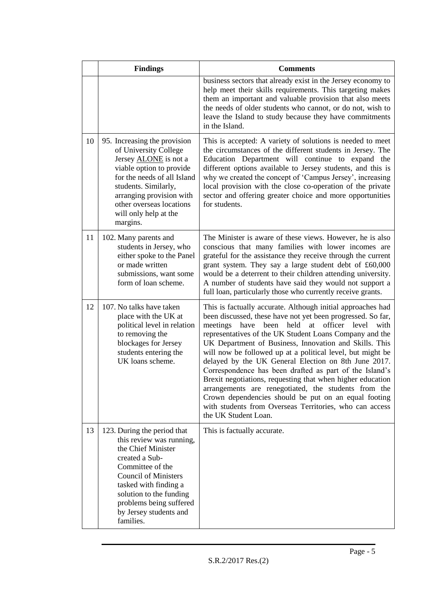|    | <b>Findings</b>                                                                                                                                                                                                                                                          | <b>Comments</b>                                                                                                                                                                                                                                                                                                                                                                                                                                                                                                                                                                                                                                                                                                                                                         |
|----|--------------------------------------------------------------------------------------------------------------------------------------------------------------------------------------------------------------------------------------------------------------------------|-------------------------------------------------------------------------------------------------------------------------------------------------------------------------------------------------------------------------------------------------------------------------------------------------------------------------------------------------------------------------------------------------------------------------------------------------------------------------------------------------------------------------------------------------------------------------------------------------------------------------------------------------------------------------------------------------------------------------------------------------------------------------|
|    |                                                                                                                                                                                                                                                                          | business sectors that already exist in the Jersey economy to<br>help meet their skills requirements. This targeting makes<br>them an important and valuable provision that also meets<br>the needs of older students who cannot, or do not, wish to<br>leave the Island to study because they have commitments<br>in the Island.                                                                                                                                                                                                                                                                                                                                                                                                                                        |
| 10 | 95. Increasing the provision<br>of University College<br>Jersey <b>ALONE</b> is not a<br>viable option to provide<br>for the needs of all Island<br>students. Similarly,<br>arranging provision with<br>other overseas locations<br>will only help at the<br>margins.    | This is accepted: A variety of solutions is needed to meet<br>the circumstances of the different students in Jersey. The<br>Education Department will continue to expand the<br>different options available to Jersey students, and this is<br>why we created the concept of 'Campus Jersey', increasing<br>local provision with the close co-operation of the private<br>sector and offering greater choice and more opportunities<br>for students.                                                                                                                                                                                                                                                                                                                    |
| 11 | 102. Many parents and<br>students in Jersey, who<br>either spoke to the Panel<br>or made written<br>submissions, want some<br>form of loan scheme.                                                                                                                       | The Minister is aware of these views. However, he is also<br>conscious that many families with lower incomes are<br>grateful for the assistance they receive through the current<br>grant system. They say a large student debt of £60,000<br>would be a deterrent to their children attending university.<br>A number of students have said they would not support a<br>full loan, particularly those who currently receive grants.                                                                                                                                                                                                                                                                                                                                    |
| 12 | 107. No talks have taken<br>place with the UK at<br>political level in relation<br>to removing the<br>blockages for Jersey<br>students entering the<br>UK loans scheme.                                                                                                  | This is factually accurate. Although initial approaches had<br>been discussed, these have not yet been progressed. So far,<br>held<br>officer<br>meetings<br>have<br>been<br>at<br>level<br>with<br>representatives of the UK Student Loans Company and the<br>UK Department of Business, Innovation and Skills. This<br>will now be followed up at a political level, but might be<br>delayed by the UK General Election on 8th June 2017.<br>Correspondence has been drafted as part of the Island's<br>Brexit negotiations, requesting that when higher education<br>arrangements are renegotiated, the students from the<br>Crown dependencies should be put on an equal footing<br>with students from Overseas Territories, who can access<br>the UK Student Loan. |
| 13 | 123. During the period that<br>this review was running,<br>the Chief Minister<br>created a Sub-<br>Committee of the<br><b>Council of Ministers</b><br>tasked with finding a<br>solution to the funding<br>problems being suffered<br>by Jersey students and<br>families. | This is factually accurate.                                                                                                                                                                                                                                                                                                                                                                                                                                                                                                                                                                                                                                                                                                                                             |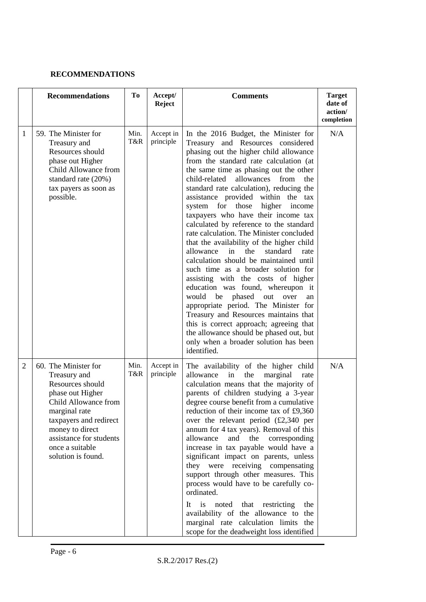### **RECOMMENDATIONS**

|                | <b>Recommendations</b>                                                                                                                                                                                                                 | To          | Accept/<br><b>Reject</b> | <b>Comments</b>                                                                                                                                                                                                                                                                                                                                                                                                                                                                                                                                                                                                                                                                                                                                                                                                                                                                                                                                                                                                                          | <b>Target</b><br>date of<br>action/<br>completion |
|----------------|----------------------------------------------------------------------------------------------------------------------------------------------------------------------------------------------------------------------------------------|-------------|--------------------------|------------------------------------------------------------------------------------------------------------------------------------------------------------------------------------------------------------------------------------------------------------------------------------------------------------------------------------------------------------------------------------------------------------------------------------------------------------------------------------------------------------------------------------------------------------------------------------------------------------------------------------------------------------------------------------------------------------------------------------------------------------------------------------------------------------------------------------------------------------------------------------------------------------------------------------------------------------------------------------------------------------------------------------------|---------------------------------------------------|
| 1              | 59. The Minister for<br>Treasury and<br>Resources should<br>phase out Higher<br>Child Allowance from<br>standard rate (20%)<br>tax payers as soon as<br>possible.                                                                      | Min.<br>T&R | Accept in<br>principle   | In the 2016 Budget, the Minister for<br>Treasury and Resources considered<br>phasing out the higher child allowance<br>from the standard rate calculation (at<br>the same time as phasing out the other<br>child-related<br>allowances<br>from<br>the<br>standard rate calculation), reducing the<br>assistance provided within the tax<br>system for those<br>higher<br>income<br>taxpayers who have their income tax<br>calculated by reference to the standard<br>rate calculation. The Minister concluded<br>that the availability of the higher child<br>allowance<br>in<br>the<br>standard<br>rate<br>calculation should be maintained until<br>such time as a broader solution for<br>assisting with the costs of higher<br>education was found, whereupon it<br>would be phased out<br>over<br>an<br>appropriate period. The Minister for<br>Treasury and Resources maintains that<br>this is correct approach; agreeing that<br>the allowance should be phased out, but<br>only when a broader solution has been<br>identified. | N/A                                               |
| $\overline{2}$ | 60. The Minister for<br>Treasury and<br>Resources should<br>phase out Higher<br>Child Allowance from<br>marginal rate<br>taxpayers and redirect<br>money to direct<br>assistance for students<br>once a suitable<br>solution is found. | Min.<br>T&R | Accept in<br>principle   | The availability of the higher child<br>allowance<br>the<br>in<br>marginal<br>rate<br>calculation means that the majority of<br>parents of children studying a 3-year<br>degree course benefit from a cumulative<br>reduction of their income tax of £9,360<br>over the relevant period $(\text{\pounds}2,340)$ per<br>annum for 4 tax years). Removal of this<br>allowance<br>and the corresponding<br>increase in tax payable would have a<br>significant impact on parents, unless<br>they were receiving compensating<br>support through other measures. This<br>process would have to be carefully co-<br>ordinated.<br>It is noted that restricting<br>the<br>availability of the allowance to the<br>marginal rate calculation limits<br>the<br>scope for the deadweight loss identified                                                                                                                                                                                                                                          | N/A                                               |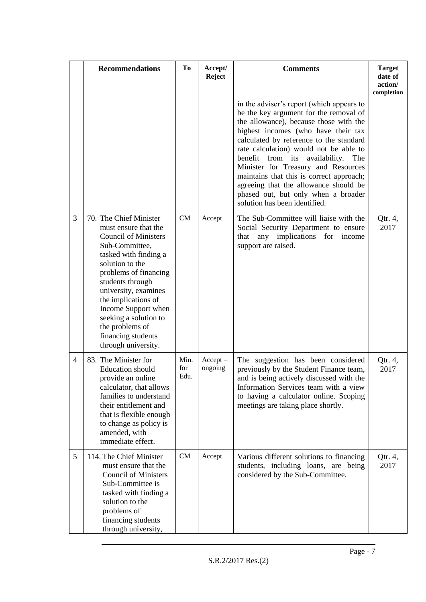|   | <b>Recommendations</b>                                                                                                                                                                                                                                                                                                                                  | To                  | Accept/<br>Reject     | <b>Comments</b>                                                                                                                                                                                                                                                                                                                                                                                                                                                                                        | <b>Target</b><br>date of<br>action/<br>completion |
|---|---------------------------------------------------------------------------------------------------------------------------------------------------------------------------------------------------------------------------------------------------------------------------------------------------------------------------------------------------------|---------------------|-----------------------|--------------------------------------------------------------------------------------------------------------------------------------------------------------------------------------------------------------------------------------------------------------------------------------------------------------------------------------------------------------------------------------------------------------------------------------------------------------------------------------------------------|---------------------------------------------------|
|   |                                                                                                                                                                                                                                                                                                                                                         |                     |                       | in the adviser's report (which appears to<br>be the key argument for the removal of<br>the allowance), because those with the<br>highest incomes (who have their tax<br>calculated by reference to the standard<br>rate calculation) would not be able to<br>benefit from its availability.<br>The<br>Minister for Treasury and Resources<br>maintains that this is correct approach;<br>agreeing that the allowance should be<br>phased out, but only when a broader<br>solution has been identified. |                                                   |
| 3 | 70. The Chief Minister<br>must ensure that the<br><b>Council of Ministers</b><br>Sub-Committee,<br>tasked with finding a<br>solution to the<br>problems of financing<br>students through<br>university, examines<br>the implications of<br>Income Support when<br>seeking a solution to<br>the problems of<br>financing students<br>through university. | CM                  | Accept                | The Sub-Committee will liaise with the<br>Social Security Department to ensure<br>any implications for income<br>that<br>support are raised.                                                                                                                                                                                                                                                                                                                                                           | Qtr. 4,<br>2017                                   |
| 4 | 83. The Minister for<br><b>Education</b> should<br>provide an online<br>calculator, that allows<br>families to understand<br>their entitlement and<br>that is flexible enough<br>to change as policy is<br>amended, with<br>immediate effect.                                                                                                           | Min.<br>for<br>Edu. | $Accept -$<br>ongoing | The suggestion has been considered<br>previously by the Student Finance team,<br>and is being actively discussed with the<br>Information Services team with a view<br>to having a calculator online. Scoping<br>meetings are taking place shortly.                                                                                                                                                                                                                                                     | Qtr. 4,<br>2017                                   |
| 5 | 114. The Chief Minister<br>must ensure that the<br><b>Council of Ministers</b><br>Sub-Committee is<br>tasked with finding a<br>solution to the<br>problems of<br>financing students<br>through university,                                                                                                                                              | CM                  | Accept                | Various different solutions to financing<br>students, including loans, are being<br>considered by the Sub-Committee.                                                                                                                                                                                                                                                                                                                                                                                   | Qtr. 4,<br>2017                                   |